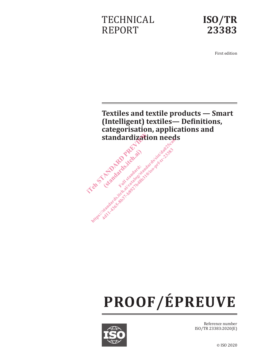## **TECHNICAL** REPORT

(Standards.iteh.ai)



First edition

**Textiles and textile products — Smart (Intelligent) textiles— Definitions, categorisation, applications and**  standardization needs<br>
in the standard stream of the state of the 236-3<br>
in the standard stream of the state of the 236-3<br>
in the state of the state of the state of the state Https://standards.iteh.ai/catalog.iteh.ai/catalog.iteh.ai/catalog.iteh.ai/catalog.iteh.ai/catalog.iteh.ai/catalog.iteh.ai/catalog.iteh.ai/catalog.iteh.ai/catalog.iteh.ai/catalog.iteh.ai/catalog.iteh.ai/catalog.iteh.ai/cata

**PROOF/ÉPREUVE**



Reference number ISO/TR 23383:2020(E)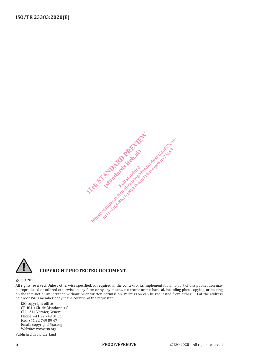



### **COPYRIGHT PROTECTED DOCUMENT**

#### © ISO 2020

All rights reserved. Unless otherwise specified, or required in the context of its implementation, no part of this publication may be reproduced or utilized otherwise in any form or by any means, electronic or mechanical, including photocopying, or posting on the internet or an intranet, without prior written permission. Permission can be requested from either ISO at the address below or ISO's member body in the country of the requester.

ISO copyright office CP 401 • Ch. de Blandonnet 8 CH-1214 Vernier, Geneva Phone: +41 22 749 01 11 Fax: +41 22 749 09 47 Email: copyright@iso.org Website: www.iso.org

Published in Switzerland

#### **PROOF/ÉPREUVE**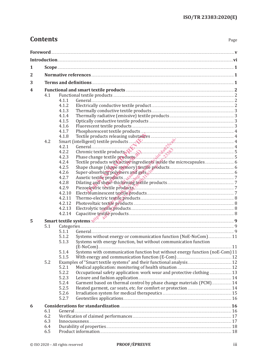## **Contents**

| . .<br>×<br>۹<br>×<br>×<br>v |
|------------------------------|
|------------------------------|

| 1 |                                                                                                                                                                                                                                     |                                                                                                                                                                                                                                                                                             |  |  |  |
|---|-------------------------------------------------------------------------------------------------------------------------------------------------------------------------------------------------------------------------------------|---------------------------------------------------------------------------------------------------------------------------------------------------------------------------------------------------------------------------------------------------------------------------------------------|--|--|--|
|   | 2                                                                                                                                                                                                                                   |                                                                                                                                                                                                                                                                                             |  |  |  |
| 3 |                                                                                                                                                                                                                                     |                                                                                                                                                                                                                                                                                             |  |  |  |
| 4 | Functional and smart textile products <b>Execution</b> 2                                                                                                                                                                            |                                                                                                                                                                                                                                                                                             |  |  |  |
|   | 4.1                                                                                                                                                                                                                                 |                                                                                                                                                                                                                                                                                             |  |  |  |
|   |                                                                                                                                                                                                                                     | 4.1.1                                                                                                                                                                                                                                                                                       |  |  |  |
|   |                                                                                                                                                                                                                                     | 4.1.2                                                                                                                                                                                                                                                                                       |  |  |  |
|   |                                                                                                                                                                                                                                     | 4.1.3                                                                                                                                                                                                                                                                                       |  |  |  |
|   |                                                                                                                                                                                                                                     | 4.1.4                                                                                                                                                                                                                                                                                       |  |  |  |
|   |                                                                                                                                                                                                                                     | Thermally conductive textile product<br>Thermally radiative (emissive) textile products<br>3<br>Optically conductive textile products<br>3<br>Fluorescent textile products<br>3<br>3<br>2<br>3<br>2<br>2<br>3<br>2<br>2<br>3<br>2<br>2<br>3<br>2<br>3<br>2<br>3<br>2<br>3<br>2<br><br>4.1.5 |  |  |  |
|   |                                                                                                                                                                                                                                     | 4.1.6                                                                                                                                                                                                                                                                                       |  |  |  |
|   |                                                                                                                                                                                                                                     | 4.1.7                                                                                                                                                                                                                                                                                       |  |  |  |
|   |                                                                                                                                                                                                                                     | 4.1.8 Textile products eleasing substances<br>Smart (intelligent) textile products<br>4.2.1 General 4.2.2 Chromic textile products<br>4.2.2 Chromic textile products<br>5<br>4.2.3 Phase change textile products                                                                            |  |  |  |
|   | 4.2                                                                                                                                                                                                                                 |                                                                                                                                                                                                                                                                                             |  |  |  |
|   |                                                                                                                                                                                                                                     |                                                                                                                                                                                                                                                                                             |  |  |  |
|   |                                                                                                                                                                                                                                     |                                                                                                                                                                                                                                                                                             |  |  |  |
|   |                                                                                                                                                                                                                                     |                                                                                                                                                                                                                                                                                             |  |  |  |
|   |                                                                                                                                                                                                                                     | 4.2.4                                                                                                                                                                                                                                                                                       |  |  |  |
|   |                                                                                                                                                                                                                                     | 4.2.5                                                                                                                                                                                                                                                                                       |  |  |  |
|   |                                                                                                                                                                                                                                     | Super-absorbing polymers and gets is self-continuous continuous contract of<br>4.2.6                                                                                                                                                                                                        |  |  |  |
|   |                                                                                                                                                                                                                                     | Auxetic textile products Av 02 3 Av manus and the contract of the products 7<br>4.2.7                                                                                                                                                                                                       |  |  |  |
|   |                                                                                                                                                                                                                                     | 4.2.8                                                                                                                                                                                                                                                                                       |  |  |  |
|   |                                                                                                                                                                                                                                     | Piezoelectric textile products.<br>4.2.9                                                                                                                                                                                                                                                    |  |  |  |
|   |                                                                                                                                                                                                                                     | 4.2.10                                                                                                                                                                                                                                                                                      |  |  |  |
|   |                                                                                                                                                                                                                                     | 4.2.11                                                                                                                                                                                                                                                                                      |  |  |  |
|   |                                                                                                                                                                                                                                     | 4.2.12                                                                                                                                                                                                                                                                                      |  |  |  |
|   |                                                                                                                                                                                                                                     | 4.2.13                                                                                                                                                                                                                                                                                      |  |  |  |
|   |                                                                                                                                                                                                                                     | 4.2.14                                                                                                                                                                                                                                                                                      |  |  |  |
| 5 |                                                                                                                                                                                                                                     | Smart textile systems $x^{\alpha}$ , $x^{\alpha}$                                                                                                                                                                                                                                           |  |  |  |
|   | 5.1                                                                                                                                                                                                                                 |                                                                                                                                                                                                                                                                                             |  |  |  |
|   |                                                                                                                                                                                                                                     | 5.1.1                                                                                                                                                                                                                                                                                       |  |  |  |
|   |                                                                                                                                                                                                                                     | Systems without energy or communication function (NoE-NoCom) 11<br>5.1.2                                                                                                                                                                                                                    |  |  |  |
|   |                                                                                                                                                                                                                                     | Systems with energy function, but without communication function<br>5.1.3                                                                                                                                                                                                                   |  |  |  |
|   |                                                                                                                                                                                                                                     |                                                                                                                                                                                                                                                                                             |  |  |  |
|   |                                                                                                                                                                                                                                     | Systems with communication function but without energy function (noE-Com)11<br>5.1.4                                                                                                                                                                                                        |  |  |  |
|   |                                                                                                                                                                                                                                     | 5.1.5                                                                                                                                                                                                                                                                                       |  |  |  |
|   | 5.2                                                                                                                                                                                                                                 |                                                                                                                                                                                                                                                                                             |  |  |  |
|   |                                                                                                                                                                                                                                     | 5.2.1                                                                                                                                                                                                                                                                                       |  |  |  |
|   |                                                                                                                                                                                                                                     | Occupational safety application: work wear and protective clothing  13<br>5.2.2                                                                                                                                                                                                             |  |  |  |
|   |                                                                                                                                                                                                                                     | 5.2.3                                                                                                                                                                                                                                                                                       |  |  |  |
|   |                                                                                                                                                                                                                                     | 5.2.4<br>Garment based on thermal control by phase change materials (PCM) 14                                                                                                                                                                                                                |  |  |  |
|   |                                                                                                                                                                                                                                     | 5.2.5                                                                                                                                                                                                                                                                                       |  |  |  |
|   |                                                                                                                                                                                                                                     | 5.2.6                                                                                                                                                                                                                                                                                       |  |  |  |
|   |                                                                                                                                                                                                                                     | 5.2.7                                                                                                                                                                                                                                                                                       |  |  |  |
| 6 | Considerations for standardization <u>manual construction</u> and the set of the set of the set of the set of the set of the set of the set of the set of the set of the set of the set of the set of the set of the set of the set |                                                                                                                                                                                                                                                                                             |  |  |  |
|   | 6.1                                                                                                                                                                                                                                 |                                                                                                                                                                                                                                                                                             |  |  |  |
|   | 6.2                                                                                                                                                                                                                                 |                                                                                                                                                                                                                                                                                             |  |  |  |
|   | 6.3                                                                                                                                                                                                                                 |                                                                                                                                                                                                                                                                                             |  |  |  |
|   | 6.4                                                                                                                                                                                                                                 |                                                                                                                                                                                                                                                                                             |  |  |  |
|   | 6.5                                                                                                                                                                                                                                 |                                                                                                                                                                                                                                                                                             |  |  |  |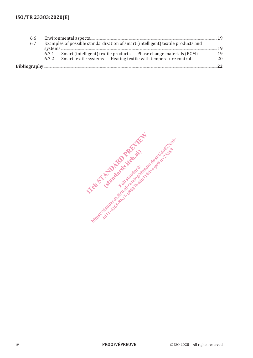#### **ISO/TR 23383:2020(E)**

| 6.b |       |                                                                                                                                                                                                                                                                                                                                                                                           | 1 Q |
|-----|-------|-------------------------------------------------------------------------------------------------------------------------------------------------------------------------------------------------------------------------------------------------------------------------------------------------------------------------------------------------------------------------------------------|-----|
| 6.7 |       | Examples of possible standardization of smart (intelligent) textile products and                                                                                                                                                                                                                                                                                                          |     |
|     |       | $\textbf{systems} \textit{} \textit{} \textit{} \textit{} \textit{} \textit{} \textit{} \textit{} \textit{} \textit{} \textit{} \textit{} \textit{} \textit{} \textit{} \textit{} \textit{} \textit{} \textit{} \textit{} \textit{} \textit{} \textit{} \textit{} \textit{} \textit{} \textit{} \textit{} \textit{} \textit{} \textit{} \textit{} \textit{} \textit{} \textit{} \textit{$ | 19  |
|     | 6.7.1 |                                                                                                                                                                                                                                                                                                                                                                                           |     |
|     | 6.7.2 |                                                                                                                                                                                                                                                                                                                                                                                           |     |
|     |       |                                                                                                                                                                                                                                                                                                                                                                                           | フフ  |

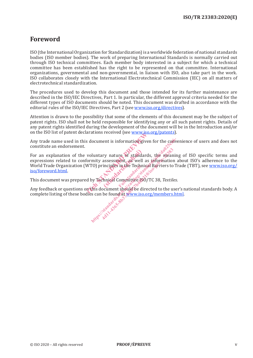## **Foreword**

ISO (the International Organization for Standardization) is a worldwide federation of national standards bodies (ISO member bodies). The work of preparing International Standards is normally carried out through ISO technical committees. Each member body interested in a subject for which a technical committee has been established has the right to be represented on that committee. International organizations, governmental and non-governmental, in liaison with ISO, also take part in the work. ISO collaborates closely with the International Electrotechnical Commission (IEC) on all matters of electrotechnical standardization.

The procedures used to develop this document and those intended for its further maintenance are described in the ISO/IEC Directives, Part 1. In particular, the different approval criteria needed for the different types of ISO documents should be noted. This document was drafted in accordance with the editorial rules of the ISO/IEC Directives, Part 2 (see www.iso.org/directives).

Attention is drawn to the possibility that some of the elements of this document may be the subject of patent rights. ISO shall not be held responsible for identifying any or all such patent rights. Details of any patent rights identified during the development of the document will be in the Introduction and/or on the ISO list of patent declarations received (see www.iso.org/patents).

Any trade name used in this document is information given for the convenience of users and does not constitute an endorsement.

For an explanation of the voluntary nature of standards, the meaning of ISO specific terms and expressions related to conformity assessment, as well as information about ISO's adherence to the World Trade Organization (WTO) principles in the Technical Barriers to Trade (TBT), see www.iso.org/<br>iso/foreword.html. iso/foreword.html. arations received (see WWW.50.01g)<br>s document is information given for<br>woluntary nature of standards, the<br>formity assessment, as well as information of the Technical Bandard<br>d by Technical Committee 450/TC 3<br>in this docume ry nature of standards Ful state regin hocument is information given for the convertion of standards, the meaning mity assessment, as well as information and the meaning of the Technical Barriers to Transport of the Technical Committee 4SO/TC 38, Textiles.

This document was prepared by Technical Committee ISO/TC 38, *Textiles*.

Any feedback or questions on this document should be directed to the user's national standards body. A complete listing of these bodies can be found at www.iso.org/members.html.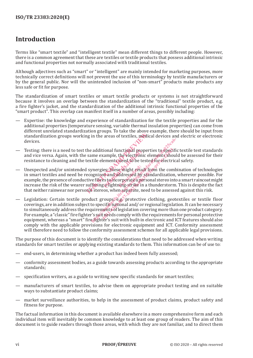## **Introduction**

Terms like "smart textile" and "intelligent textile" mean different things to different people. However, there is a common agreement that these are textiles or textile products that possess additional intrinsic and functional properties not normally associated with traditional textiles.

Although adjectives such as "smart" or "intelligent" are mainly intended for marketing purposes, more technically correct definitions will not prevent the use of this terminology by textile manufacturers or by the general public. Nor will the unintended inclusion of "non-smart" products make products any less safe or fit for purpose.

The standardization of smart textiles or smart textile products or systems is not straightforward because it involves an overlap between the standardization of the "traditional" textile product, e.g. a fire fighter's jacket, and the standardization of the additional intrinsic functional properties of the "smart product". This overlap can manifest itself in a number of areas, possibly including:

- Expertise: the knowledge and experience of standardization for the textile properties and for the additional properties (temperature sensing, variable thermal insulation properties) can come from different unrelated standardization groups. To take the above example, there should be input from standardization groups working in the areas of textiles, medical devices and electric or electronic devices.
- Testing: there is a need to test the additional functional properties to specific textile test standards and vice versa. Again, with the same example, the electronic elements should be assessed for their resistance to cleaning and the textile elements need to be tested for electrical safety.
- Unexpected and/or unintended synergies: these might result from the combination of technologies<br>in smart textiles and need be recognized and addressed by standardization, wherever possible. For<br>example, the presence of c in smart textiles and need be recognized and addressed by standardization, wherever possible. For example, the presence of conductive fibres to incorporate a personal stereo into a smart raincoat might increase the risk of the wearer suffering a lightning-strike in a thunderstorm. This is despite the fact that neither rainwear nor personal stereos, when separate, need to be assessed against this risk. in the areas of textiles, medical of<br>the additional functional properties<br>same example, the electronic elements<br>textile elements need to be tested for<br>a synergies. these might result from<br>ecognized and addressed by standar ional functional prop<br>(sample, the electronic<br>ements need to be te<br>ies: these might result<br>and addressed by<br>es to mcorporate a per<br>(alightning-strike in tional functional properties to speci<br>
xample, the electronic elements sho<br>
lements need to be tested for electric<br>
ies: these might result from the con<br>
ed and addressed by standardization<br>
es to mcorporate a personal ste
- Legislation: Certain textile product groups,  $\mathcal{E}(\mathcal{L})$  protective clothing, geotextiles or textile floor coverings, are in addition subject to specific national and/ or regional legislation. It can be necessary to simultaneously address the requirements of legislation covering more than one product category. For example, a "classic" fire fighter's suit needs comply with the requirements for personal protective equipment, whereas a "smart" fire fighter's suit with built-in electronic and ICT features should also comply with the applicable provisions for electronic equipment and ICT. Conformity assessment will therefore need to follow the conformity assessment schemes for all applicable legal provisions. readditional functional properties to specific<br>trile elements need to be tested for electrica<br>trile elements need to be tested for electrica<br>ynergies. these might result from the combi<br>ognized and addressed by standardizat

The purpose of this document is to identify the considerations that need to be addressed when writing standards for smart textiles or applying existing standards to them. This information can be of use to:

- end-users, in determining whether a product has indeed been fully assessed;
- conformity assessment bodies, as a guide towards assessing products according to the appropriate standards;
- specification writers, as a guide to writing new specific standards for smart textiles;
- manufacturers of smart textiles, to advise them on appropriate product testing and on suitable ways to substantiate product claims;
- market surveillance authorities, to help in the assessment of product claims, product safety and fitness for purpose.

The factual information in this document is available elsewhere in a more comprehensive form and each individual item will inevitably be common knowledge to at least one group of readers. The aim of this document is to guide readers through those areas, with which they are not familiar, and to direct them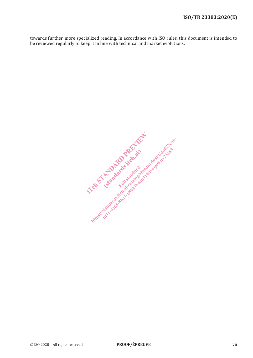towards further, more specialized reading. In accordance with ISO rules, this document is intended to be reviewed regularly to keep it in line with technical and market evolutions.

in Standard Preview individual (Standards.iteh.ai) https://standards.iteh.ai/catalog/sist/dandards.item.ai/catalogy.ca6-353833.html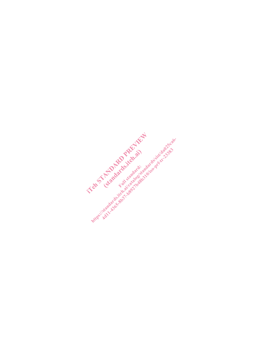IT IN 1991 / SOMETHING ASSAULT AND MANUSCRIPTION OF THE VALUE OF THE VALUE OF THE VALUE OF THE VALUE OF THE VALUE OF THE VALUE OF THE VALUE OF THE VALUE OF THE VALUE OF THE VALUE OF THE VALUE OF THE VALUE OF THE VALUE OF T Tem of A Property in the A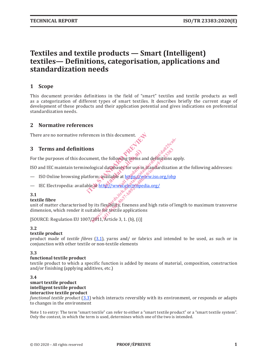## **Textiles and textile products — Smart (Intelligent) textiles— Definitions, categorisation, applications and standardization needs**

#### **1 Scope**

This document provides definitions in the field of "smart" textiles and textile products as well as a categorization of different types of smart textiles. It describes briefly the current stage of development of these products and their application potential and gives indications on preferential standardization needs.

#### **2 Normative references**

There are no normative references in this document.

#### **3 Terms and definitions**

For the purposes of this document, the following terms and definitions apply.

ISO and IEC maintain terminological databases for use in standardization at the following addresses:<br>
— ISO Online browsing platform: available at https://www.iso.org/obp<br>
— IEC Electropedia: available at http://www.electr

- ISO Online browsing platform; available at https://www.iso.org/obp
- IEC Electropedia: available at http://www.electropedia.org/ Frences in this document.<br> **STANDARD PREVIEW STANDARD PREVIEW AND ARRANGEMENT CONSUMING THE STANDARD PREVIEW WAS STANDARD PREVIEW WAS ARRANGEMENT CONSULTED A PARTICIPAL CONSULTED AND REVIEW OF THE STANDARD PREVIEW OF THE S** the following terms at a databases for use in

#### **3.1**

#### **textile fibre**

unit of matter characterised by its flexibility, fineness and high ratio of length to maximum transverse dimension, which render it suitable for textile applications http://www.electmobia.org/objectmobia.org/sistem.ai/catalogical databases for use in standardization<br>orm: available at https://www.iso.org/obp<br>eat http://www.electmobedia.org/<br>y its flexibility, fineness and high ratio of

[SOURCE: Regulation EU 1007/2011, Article 3, 1. (b), (i)]

#### **3.2**

#### **textile product**

product made of *textile fibres* (3.1), yarns and/ or fabrics and intended to be used, as such or in conjunction with other textile or non-textile elements

#### **3.3**

#### **functional textile product**

textile product to which a specific function is added by means of material, composition, construction and/or finishing (applying additives, etc.)

#### **3.4**

#### **smart textile product intelligent textile product interactive textile product**

*functional textile product* (3.3) which interacts reversibly with its environment, or responds or adapts to changes in the environment

Note 1 to entry: The term "smart textile" can refer to either a "smart textile product" or a "smart textile system". Only the context, in which the term is used, determines which one of the two is intended.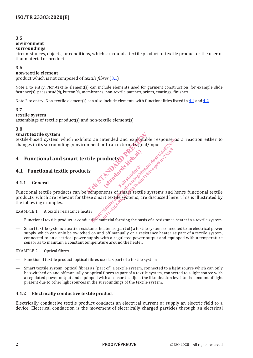#### **3.5**

#### **environment**

#### **surroundings**

circumstances, objects, or conditions, which surround a textile product or textile product or the user of that material or product

#### **3.6**

#### **non-textile element**

product which is not composed of *textile fibres* (3.1)

Note 1 to entry: Non-textile element(s) can include elements used for garment construction, for example slide fastener(s), press stud(s), button(s), membranes, non-textile patches, prints, coatings, finishes.

Note 2 to entry: Non-textile element(s) can also include elements with functionalities listed in 4.1 and 4.2.

#### **3.7**

#### **textile system**

assemblage of textile product(s) and non-textile element(s)

#### **3.8**

#### **smart textile system**

textile-based system which exhibits an intended and exploitable response as a reaction either to changes in its surroundings/environment or to an external signal/input its an intended and exploitable r<br>nment or to an external signal/inprovement or to an external signal/inprovement<br>tile products of the products of the product of the products of the product of the product of the product of

# **4 Functional and smart textile products** oductsp. R.R. (standard)

#### **4.1 Functional textile products**

#### **4.1.1 General**

Functional textile products can be components of smart textile systems and hence functional textile<br>products, which are relevant for these smart textile systems, are discussed here. This is illustrated by<br>the following ex products, which are relevant for these smart textile systems, are discussed here. This is illustrated by<br>the following examples.<br>EXAMPLE 1 A textile recistors of the second continuous second continuous second continuous se the following examples. is an intended and exploitable responses as<br>ment or to an external signal/input<br>**le products.**<br>**Exploitable**<br>**de products.**<br>**Alta dandards.**<br>**Alta dandards.**<br>**Alta dandards.**<br>**Alta dandards.**<br>**Alta dandards.**<br>**Alta dandard** 

EXAMPLE 1 A textile resistance heater

- Functional textile product: a conductive material forming the basis of a resistance heater in a textile system.
- Smart textile system: a textile resistance heater as (part of) a textile system, connected to an electrical power supply which can only be switched on and off manually or a resistance heater as part of a textile system, connected to an electrical power supply with a regulated power output and equipped with a temperature sensor as to maintain a constant temperature around the heater.

#### EXAMPLE 2 Optical fibres

- Functional textile product: optical fibres used as part of a textile system
- Smart textile system: optical fibres as (part of) a textile system, connected to a light source which can only be switched on and off manually or optical fibres as part of a textile system, connected to a light source with a regulated power output and equipped with a sensor to adjust the illumination level to the amount of light present due to other light sources in the surroundings of the textile system.

#### **4.1.2 Electrically conductive textile product**

Electrically conductive textile product conducts an electrical current or supply an electric field to a device. Electrical conduction is the movement of electrically charged particles through an electrical